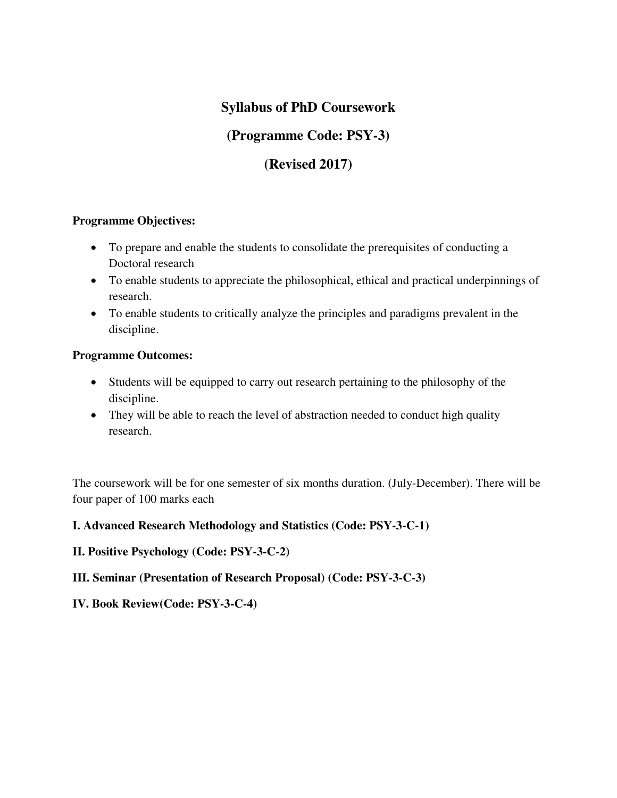# **Syllabus of PhD Coursework**

# **(Programme Code: PSY-3)**

# **(Revised 2017)**

## **Programme Objectives:**

- To prepare and enable the students to consolidate the prerequisites of conducting a Doctoral research
- To enable students to appreciate the philosophical, ethical and practical underpinnings of research.
- To enable students to critically analyze the principles and paradigms prevalent in the discipline.

## **Programme Outcomes:**

- Students will be equipped to carry out research pertaining to the philosophy of the discipline.
- They will be able to reach the level of abstraction needed to conduct high quality research.

The coursework will be for one semester of six months duration. (July-December). There will be four paper of 100 marks each

## **I. Advanced Research Methodology and Statistics (Code: PSY-3-C-1)**

## **II. Positive Psychology (Code: PSY-3-C-2)**

## **III. Seminar (Presentation of Research Proposal) (Code: PSY-3-C-3)**

**IV. Book Review(Code: PSY-3-C-4)**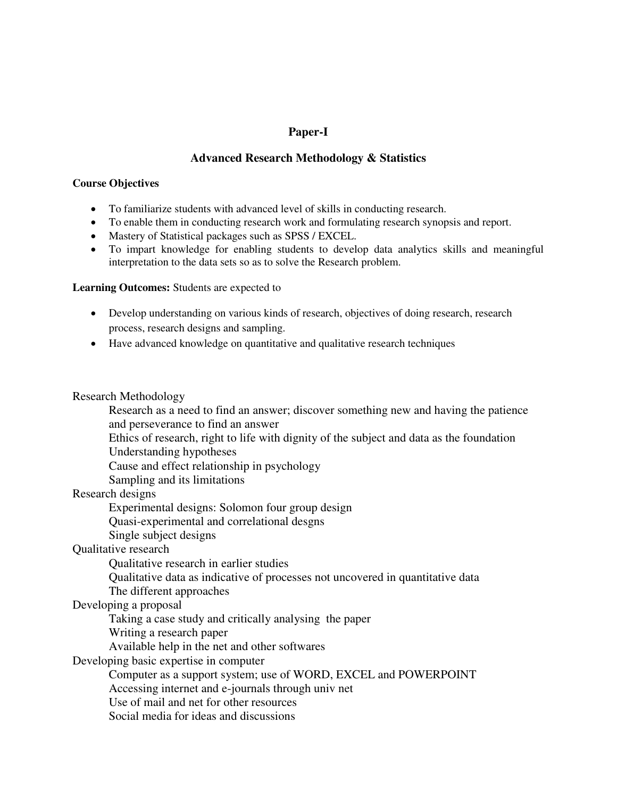### **Paper-I**

### **Advanced Research Methodology & Statistics**

#### **Course Objectives**

- To familiarize students with advanced level of skills in conducting research.
- To enable them in conducting research work and formulating research synopsis and report.
- Mastery of Statistical packages such as SPSS / EXCEL.
- To impart knowledge for enabling students to develop data analytics skills and meaningful interpretation to the data sets so as to solve the Research problem.

#### **Learning Outcomes:** Students are expected to

- Develop understanding on various kinds of research, objectives of doing research, research process, research designs and sampling.
- Have advanced knowledge on quantitative and qualitative research techniques

#### Research Methodology

- Research as a need to find an answer; discover something new and having the patience and perseverance to find an answer
- Ethics of research, right to life with dignity of the subject and data as the foundation Understanding hypotheses
- Cause and effect relationship in psychology
- Sampling and its limitations

## Research designs

Experimental designs: Solomon four group design

Quasi-experimental and correlational desgns

Single subject designs

#### Qualitative research

Qualitative research in earlier studies

- Qualitative data as indicative of processes not uncovered in quantitative data
- The different approaches

#### Developing a proposal

- Taking a case study and critically analysing the paper
- Writing a research paper
- Available help in the net and other softwares

#### Developing basic expertise in computer

- Computer as a support system; use of WORD, EXCEL and POWERPOINT
- Accessing internet and e-journals through univ net
- Use of mail and net for other resources
- Social media for ideas and discussions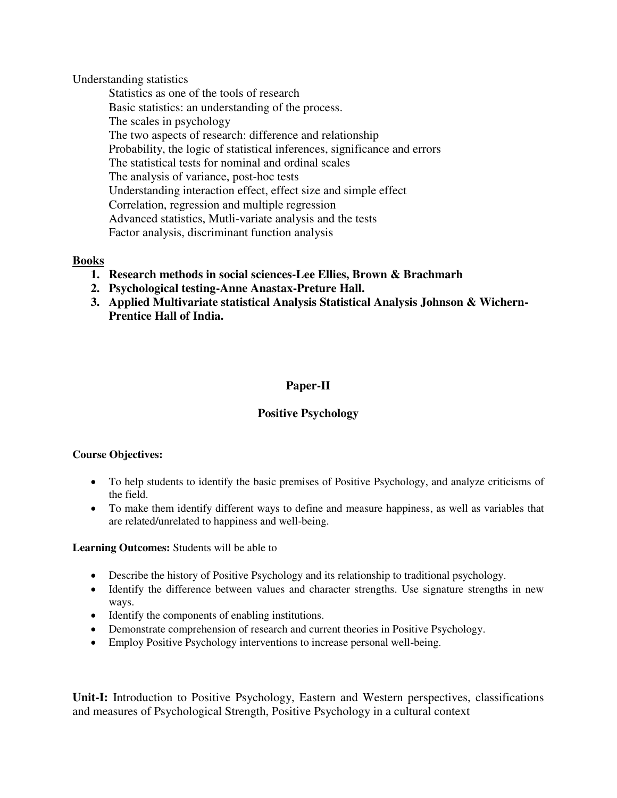Understanding statistics

 Statistics as one of the tools of research Basic statistics: an understanding of the process. The scales in psychology The two aspects of research: difference and relationship Probability, the logic of statistical inferences, significance and errors The statistical tests for nominal and ordinal scales The analysis of variance, post-hoc tests Understanding interaction effect, effect size and simple effect Correlation, regression and multiple regression Advanced statistics, Mutli-variate analysis and the tests Factor analysis, discriminant function analysis

#### **Books**

- **1. Research methods in social sciences-Lee Ellies, Brown & Brachmarh**
- **2. Psychological testing-Anne Anastax-Preture Hall.**
- **3. Applied Multivariate statistical Analysis Statistical Analysis Johnson & Wichern-Prentice Hall of India.**

## **Paper-II**

## **Positive Psychology**

#### **Course Objectives:**

- To help students to identify the basic premises of Positive Psychology, and analyze criticisms of the field.
- To make them identify different ways to define and measure happiness, as well as variables that are related/unrelated to happiness and well-being.

#### **Learning Outcomes:** Students will be able to

- Describe the history of Positive Psychology and its relationship to traditional psychology.
- Identify the difference between values and character strengths. Use signature strengths in new ways.
- Identify the components of enabling institutions.
- Demonstrate comprehension of research and current theories in Positive Psychology.
- Employ Positive Psychology interventions to increase personal well-being.

**Unit-I:** Introduction to Positive Psychology, Eastern and Western perspectives, classifications and measures of Psychological Strength, Positive Psychology in a cultural context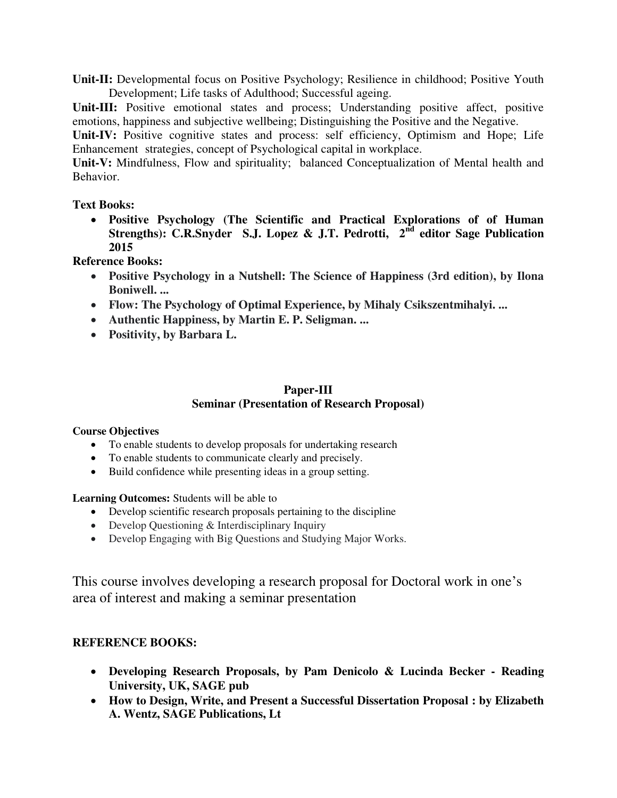**Unit-II:** Developmental focus on Positive Psychology; Resilience in childhood; Positive Youth Development; Life tasks of Adulthood; Successful ageing.

Unit-III: Positive emotional states and process; Understanding positive affect, positive emotions, happiness and subjective wellbeing; Distinguishing the Positive and the Negative.

**Unit-IV:** Positive cognitive states and process: self efficiency, Optimism and Hope; Life Enhancement strategies, concept of Psychological capital in workplace.

**Unit-V:** Mindfulness, Flow and spirituality; balanced Conceptualization of Mental health and Behavior.

### **Text Books:**

 **Positive Psychology (The Scientific and Practical Explorations of of Human Strengths): C.R.Snyder S.J. Lopez & J.T. Pedrotti, 2nd editor Sage Publication 2015** 

**Reference Books:** 

- **Positive Psychology in a Nutshell: The Science of Happiness (3rd edition), by Ilona Boniwell. ...**
- **Flow: The Psychology of Optimal Experience, by Mihaly Csikszentmihalyi. ...**
- **Authentic Happiness, by Martin E. P. Seligman. ...**
- **Positivity, by Barbara L.**

## **Paper-III Seminar (Presentation of Research Proposal)**

#### **Course Objectives**

- To enable students to develop proposals for undertaking research
- To enable students to communicate clearly and precisely.
- Build confidence while presenting ideas in a group setting.

**Learning Outcomes:** Students will be able to

- Develop scientific research proposals pertaining to the discipline
- Develop Questioning & Interdisciplinary Inquiry
- Develop Engaging with Big Questions and Studying Major Works.

This course involves developing a research proposal for Doctoral work in one's area of interest and making a seminar presentation

## **REFERENCE BOOKS:**

- **Developing Research Proposals, by Pam Denicolo & Lucinda Becker Reading University, UK, SAGE pub**
- **How to Design, Write, and Present a Successful Dissertation Proposal : by Elizabeth A. Wentz, SAGE Publications, Lt**